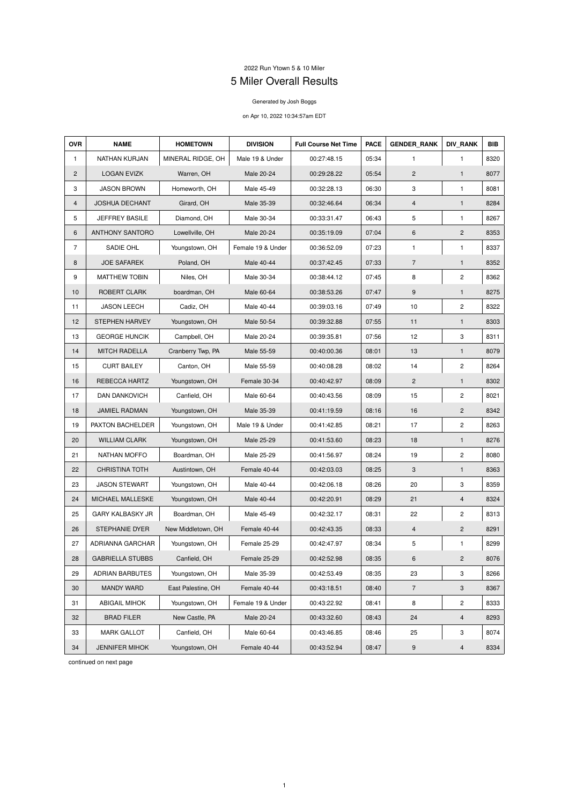## 2022 Run Ytown 5 & 10 Miler

## 5 Miler Overall Results

## Generated by Josh Boggs

## on Apr 10, 2022 10:34:57am EDT

| <b>OVR</b>     | <b>NAME</b>             | <b>HOMETOWN</b>    | <b>DIVISION</b>                                         | <b>Full Course Net Time</b> | <b>PACE</b>  | <b>GENDER RANK</b>      | <b>DIV RANK</b> | <b>BIB</b> |
|----------------|-------------------------|--------------------|---------------------------------------------------------|-----------------------------|--------------|-------------------------|-----------------|------------|
| $\mathbf{1}$   | NATHAN KURJAN           | MINERAL RIDGE, OH  | Male 19 & Under<br>00:27:48.15<br>05:34<br>$\mathbf{1}$ |                             | $\mathbf{1}$ | 8320                    |                 |            |
| $\overline{2}$ | <b>LOGAN EVIZK</b>      | Warren, OH         | Male 20-24                                              | 00:29:28.22                 | 05:54        | $\mathbf{2}$            | $\mathbf{1}$    | 8077       |
| 3              | <b>JASON BROWN</b>      | Homeworth, OH      | Male 45-49                                              | 00:32:28.13                 | 06:30        | 3                       | 1               | 8081       |
| 4              | <b>JOSHUA DECHANT</b>   | Girard, OH         | Male 35-39                                              | 00:32:46.64                 | 06:34        | 4                       | $\mathbf{1}$    | 8284       |
| 5              | <b>JEFFREY BASILE</b>   | Diamond, OH        | Male 30-34                                              | 00:33:31.47                 | 06:43        | 5                       | $\mathbf{1}$    | 8267       |
| 6              | <b>ANTHONY SANTORO</b>  | Lowellville, OH    | Male 20-24                                              | 00:35:19.09                 | 07:04        | 6                       | $\mathbf{2}$    | 8353       |
| $\overline{7}$ | SADIE OHL               | Youngstown, OH     | Female 19 & Under                                       | 00:36:52.09                 | 07:23        | $\mathbf{1}$            | $\mathbf{1}$    | 8337       |
| 8              | <b>JOE SAFAREK</b>      | Poland, OH         | Male 40-44                                              | 00:37:42.45                 | 07:33        | $\overline{7}$          | $\mathbf{1}$    | 8352       |
| 9              | <b>MATTHEW TOBIN</b>    | Niles, OH          | Male 30-34                                              | 00:38:44.12                 | 07:45        | 8                       | $\overline{c}$  | 8362       |
| 10             | <b>ROBERT CLARK</b>     | boardman, OH       | Male 60-64                                              | 00:38:53.26                 | 07:47        | $\boldsymbol{9}$        | $\mathbf{1}$    | 8275       |
| 11             | <b>JASON LEECH</b>      | Cadiz, OH          | Male 40-44                                              | 00:39:03.16                 | 07:49        | 10                      | $\overline{c}$  | 8322       |
| 12             | <b>STEPHEN HARVEY</b>   | Youngstown, OH     | Male 50-54                                              | 00:39:32.88                 | 07:55        | 11                      | $\mathbf{1}$    | 8303       |
| 13             | <b>GEORGE HUNCIK</b>    | Campbell, OH       | Male 20-24                                              | 00:39:35.81                 | 07:56        | 12                      | 3               | 8311       |
| 14             | <b>MITCH RADELLA</b>    | Cranberry Twp, PA  | Male 55-59                                              | 00:40:00.36                 | 08:01        | 13                      | $\mathbf{1}$    | 8079       |
| 15             | <b>CURT BAILEY</b>      | Canton, OH         | Male 55-59                                              | 00:40:08.28                 | 08:02        | 14                      | $\overline{c}$  | 8264       |
| 16             | REBECCA HARTZ           | Youngstown, OH     | Female 30-34                                            | 00:40:42.97                 | 08:09        | $\overline{c}$          | $\mathbf{1}$    | 8302       |
| 17             | <b>DAN DANKOVICH</b>    | Canfield, OH       | Male 60-64                                              | 00:40:43.56                 | 08:09        | 15                      | $\overline{c}$  | 8021       |
| 18             | <b>JAMIEL RADMAN</b>    | Youngstown, OH     | Male 35-39                                              | 00:41:19.59                 | 08:16        | 16                      | $\mathbf{2}$    | 8342       |
| 19             | PAXTON BACHELDER        | Youngstown, OH     | Male 19 & Under                                         | 00:41:42.85                 | 08:21        | 17                      | $\mathbf{2}$    | 8263       |
| 20             | <b>WILLIAM CLARK</b>    | Youngstown, OH     | Male 25-29                                              | 00:41:53.60                 | 08:23        | 18                      | $\mathbf{1}$    | 8276       |
| 21             | NATHAN MOFFO            | Boardman, OH       | Male 25-29                                              | 00:41:56.97                 | 08:24        | 19                      | $\overline{c}$  | 8080       |
| 22             | <b>CHRISTINA TOTH</b>   | Austintown, OH     | Female 40-44                                            | 00:42:03.03                 | 08:25        | 3                       | $\mathbf{1}$    | 8363       |
| 23             | <b>JASON STEWART</b>    | Youngstown, OH     | Male 40-44                                              | 00:42:06.18                 | 08:26        | 20                      | 3               | 8359       |
| 24             | MICHAEL MALLESKE        | Youngstown, OH     | Male 40-44                                              | 00:42:20.91                 | 08:29        | 21                      | 4               | 8324       |
| 25             | <b>GARY KALBASKY JR</b> | Boardman, OH       | Male 45-49                                              | 00:42:32.17                 | 08:31        | 22                      | $\mathbf{2}$    | 8313       |
| 26             | <b>STEPHANIE DYER</b>   | New Middletown, OH | Female 40-44                                            | 00:42:43.35                 | 08:33        | $\overline{\mathbf{4}}$ | $\overline{2}$  | 8291       |
| 27             | ADRIANNA GARCHAR        | Youngstown, OH     | Female 25-29                                            | 00:42:47.97                 | 08:34        | 5                       | 1               | 8299       |
| 28             | <b>GABRIELLA STUBBS</b> | Canfield, OH       | Female 25-29                                            | 00:42:52.98                 | 08:35        | 6                       | $\overline{c}$  | 8076       |
| 29             | <b>ADRIAN BARBUTES</b>  | Youngstown, OH     | Male 35-39                                              | 00:42:53.49                 | 08:35        | 23                      | 3               | 8266       |
| 30             | <b>MANDY WARD</b>       | East Palestine, OH | Female 40-44                                            | 00:43:18.51                 | 08:40        | $\overline{7}$          | 3               | 8367       |
| 31             | <b>ABIGAIL MIHOK</b>    | Youngstown, OH     | Female 19 & Under                                       | 00:43:22.92                 | 08:41        | 8                       | $\mathbf{2}$    | 8333       |
| 32             | <b>BRAD FILER</b>       | New Castle, PA     | Male 20-24                                              | 00:43:32.60                 | 08:43        | 24                      | 4               | 8293       |
| 33             | <b>MARK GALLOT</b>      | Canfield, OH       | Male 60-64                                              | 00:43:46.85                 | 08:46        | 25                      | 3               | 8074       |
| 34             | <b>JENNIFER MIHOK</b>   | Youngstown, OH     | Female 40-44                                            | 00:43:52.94                 | 08:47        | 9                       | $\overline{4}$  | 8334       |

continued on next page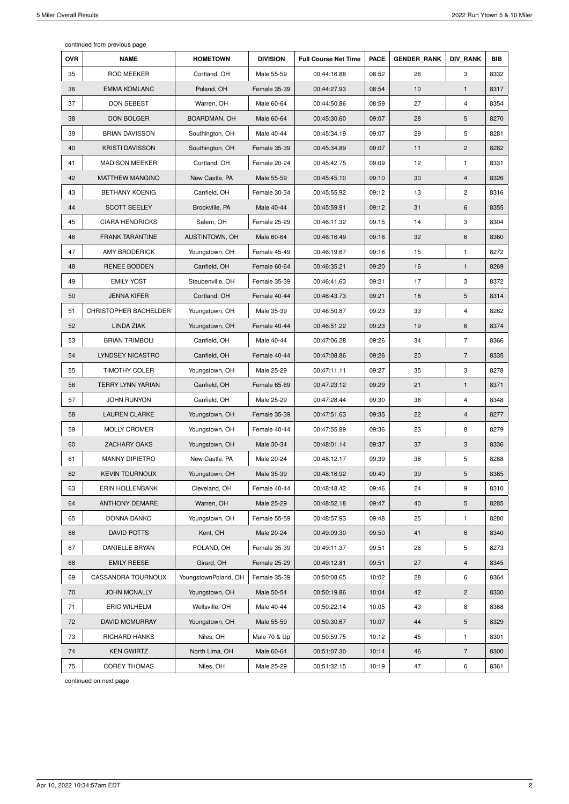continued from previous page

| <b>OVR</b> | <b>NAME</b>                       | <b>HOMETOWN</b>      | <b>DIVISION</b> | <b>Full Course Net Time</b> | <b>PACE</b> | <b>GENDER RANK</b> | <b>DIV RANK</b> | <b>BIB</b> |
|------------|-----------------------------------|----------------------|-----------------|-----------------------------|-------------|--------------------|-----------------|------------|
| 35         | <b>ROD MEEKER</b><br>Cortland, OH |                      | Male 55-59      | 00:44:16.88                 | 08:52       | 26                 | 3               | 8332       |
| 36         | <b>EMMA KOMLANC</b><br>Poland, OH |                      | Female 35-39    | 00:44:27.93                 | 08:54       | 10                 | $\mathbf{1}$    | 8317       |
| 37         | <b>DON SEBEST</b>                 | Warren, OH           | Male 60-64      | 00:44:50.86                 | 08:59       | 27                 | 4               | 8354       |
| 38         | <b>DON BOLGER</b>                 | BOARDMAN, OH         | Male 60-64      | 00:45:30.60                 | 09:07       | 28                 | 5               | 8270       |
| 39         | <b>BRIAN DAVISSON</b>             | Southington, OH      | Male 40-44      | 00:45:34.19                 | 09:07       | 29                 | 5               | 8281       |
| 40         | <b>KRISTI DAVISSON</b>            | Southington, OH      | Female 35-39    | 00:45:34.89                 | 09:07       | 11                 | $\overline{2}$  | 8282       |
| 41         | <b>MADISON MEEKER</b>             | Cortland, OH         | Female 20-24    | 00:45:42.75                 | 09:09       | 12                 | $\mathbf{1}$    | 8331       |
| 42         | <b>MATTHEW MANGINO</b>            | New Castle, PA       | Male 55-59      | 00:45:45.10                 | 09:10       | 30                 | 4               | 8326       |
| 43         | <b>BETHANY KOENIG</b>             | Canfield, OH         | Female 30-34    | 00:45:55.92                 | 09:12       | 13                 | $\mathbf{2}$    | 8316       |
| 44         | <b>SCOTT SEELEY</b>               | Brookville, PA       | Male 40-44      | 00:45:59.91                 | 09:12       | 31                 | 6               | 8355       |
| 45         | <b>CIARA HENDRICKS</b>            | Salem, OH            | Female 25-29    | 00:46:11.32                 | 09:15       | 14                 | 3               | 8304       |
| 46         | <b>FRANK TARANTINE</b>            | AUSTINTOWN, OH       | Male 60-64      | 00:46:16.49                 | 09:16       | 32                 | 6               | 8360       |
| 47         | <b>AMY BRODERICK</b>              | Youngstown, OH       | Female 45-49    | 00:46:19.67                 | 09:16       | 15                 | $\mathbf{1}$    | 8272       |
| 48         | <b>RENEE BODDEN</b>               | Canfield, OH         | Female 60-64    | 00:46:35.21                 | 09:20       | 16                 | $\mathbf{1}$    | 8269       |
| 49         | <b>EMILY YOST</b>                 | Steubenville, OH     | Female 35-39    | 00:46:41.63                 | 09:21       | 17                 | 3               | 8372       |
| 50         | <b>JENNA KIFER</b>                | Cortland, OH         | Female 40-44    | 00:46:43.73                 | 09:21       | 18                 | 5               | 8314       |
| 51         | CHRISTOPHER BACHELDER             | Youngstown, OH       | Male 35-39      | 00:46:50.87                 | 09:23       | 33                 | 4               | 8262       |
| 52         | <b>LINDA ZIAK</b>                 | Youngstown, OH       | Female 40-44    | 00:46:51.22                 | 09:23       | 19                 | 6               | 8374       |
| 53         | <b>BRIAN TRIMBOLI</b>             | Canfield, OH         | Male 40-44      | 00:47:06.28                 | 09:26       | 34                 | $\overline{7}$  | 8366       |
| 54         | LYNDSEY NICASTRO                  | Canfield, OH         | Female 40-44    | 00:47:08.86                 | 09:26       | 20                 | $\overline{7}$  | 8335       |
| 55         | <b>TIMOTHY COLER</b>              | Youngstown, OH       | Male 25-29      | 00:47:11.11                 | 09:27       | 35                 | 3               | 8278       |
| 56         | <b>TERRY LYNN YARIAN</b>          | Canfield, OH         | Female 65-69    | 00:47:23.12                 | 09:29       | 21                 | $\mathbf{1}$    | 8371       |
| 57         | <b>JOHN RUNYON</b>                | Canfield, OH         | Male 25-29      | 00:47:28.44                 | 09:30       | 36                 | 4               | 8348       |
| 58         | <b>LAUREN CLARKE</b>              | Youngstown, OH       | Female 35-39    | 00:47:51.63                 | 09:35       | 22                 | $\overline{4}$  | 8277       |
| 59         | <b>MOLLY CROMER</b>               | Youngstown, OH       | Female 40-44    | 00:47:55.89                 | 09:36       | 23                 | 8               | 8279       |
| 60         | <b>ZACHARY OAKS</b>               | Youngstown, OH       | Male 30-34      | 00:48:01.14                 | 09:37       | 37                 | 3               | 8336       |
| 61         | <b>MANNY DIPIETRO</b>             | New Castle, PA       | Male 20-24      | 00:48:12.17                 | 09:39       | 38                 | 5               | 8288       |
| 62         | <b>KEVIN TOURNOUX</b>             | Youngstown, OH       | Male 35-39      | 00:48:16.92                 | 09:40       | 39                 | 5               | 8365       |
| 63         | <b>ERIN HOLLENBANK</b>            | Cleveland, OH        | Female 40-44    | 00:48:48.42                 | 09:46       | 24                 | 9               | 8310       |
| 64         | <b>ANTHONY DEMARE</b>             | Warren, OH           | Male 25-29      | 00:48:52.18                 | 09:47       | 40                 | 5               | 8285       |
| 65         | DONNA DANKO                       | Youngstown, OH       | Female 55-59    | 00:48:57.93                 | 09:48       | 25                 | $\mathbf{1}$    | 8280       |
| 66         | <b>DAVID POTTS</b>                | Kent, OH             | Male 20-24      | 00:49:09.30                 | 09:50       | 41                 | 6               | 8340       |
| 67         | DANIELLE BRYAN                    | POLAND, OH           | Female 35-39    | 00:49:11.37                 | 09:51       | 26                 | 5               | 8273       |
| 68         | <b>EMILY REESE</b>                | Girard, OH           | Female 25-29    | 00:49:12.81                 | 09:51       | 27                 | $\overline{4}$  | 8345       |
| 69         | <b>CASSANDRA TOURNOUX</b>         | YoungstownPoland, OH | Female 35-39    | 00:50:08.65                 | 10:02       | 28                 | 6               | 8364       |
| 70         | <b>JOHN MCNALLY</b>               | Youngstown, OH       | Male 50-54      | 00:50:19.86                 | 10:04       | 42                 | $\overline{c}$  | 8330       |
| 71         | <b>ERIC WILHELM</b>               | Wellsville, OH       | Male 40-44      | 00:50:22.14                 | 10:05       | 43                 | 8               | 8368       |
| 72         | <b>DAVID MCMURRAY</b>             | Youngstown, OH       | Male 55-59      | 00:50:30.67                 | 10:07       | 44                 | 5               | 8329       |
| 73         | RICHARD HANKS                     | Niles, OH            | Male 70 & Up    | 00:50:59.75                 | 10:12       | 45                 | $\mathbf{1}$    | 8301       |
| 74         | <b>KEN GWIRTZ</b>                 | North Lima, OH       | Male 60-64      | 00:51:07.30                 | 10:14       | 46                 | $\overline{7}$  | 8300       |
| 75         | <b>COREY THOMAS</b>               | Niles, OH            | Male 25-29      | 00:51:32.15                 | 10:19       | 47                 | 6               | 8361       |

continued on next page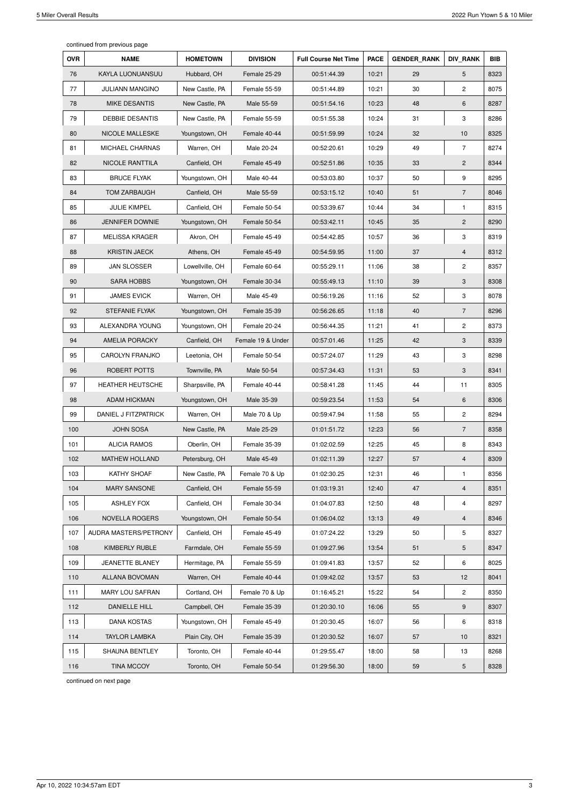continued from previous page

| <b>OVR</b> | <b>NAME</b>             | <b>HOMETOWN</b> | <b>DIVISION</b>   | <b>Full Course Net Time</b> | <b>PACE</b> | <b>GENDER RANK</b> | <b>DIV RANK</b> | <b>BIB</b> |
|------------|-------------------------|-----------------|-------------------|-----------------------------|-------------|--------------------|-----------------|------------|
| 76         | KAYLA LUONUANSUU        | Hubbard, OH     | Female 25-29      | 00:51:44.39                 | 10:21       | 29                 | 5               | 8323       |
| 77         | <b>JULIANN MANGINO</b>  | New Castle, PA  | Female 55-59      | 00:51:44.89                 | 10:21       | 30                 | $\overline{2}$  | 8075       |
| 78         | <b>MIKE DESANTIS</b>    | New Castle, PA  | Male 55-59        | 00:51:54.16                 | 10:23       | 48                 | 6               | 8287       |
| 79         | <b>DEBBIE DESANTIS</b>  | New Castle, PA  | Female 55-59      | 00:51:55.38                 | 10:24       | 31                 | 3               | 8286       |
| 80         | NICOLE MALLESKE         | Youngstown, OH  | Female 40-44      | 00:51:59.99                 | 10:24       | 32                 | 10              | 8325       |
| 81         | MICHAEL CHARNAS         | Warren, OH      | Male 20-24        | 00:52:20.61                 | 10:29       | 49                 | $\overline{7}$  | 8274       |
| 82         | NICOLE RANTTILA         | Canfield, OH    | Female 45-49      | 00:52:51.86                 | 10:35       | 33                 | $\overline{c}$  | 8344       |
| 83         | <b>BRUCE FLYAK</b>      | Youngstown, OH  | Male 40-44        | 00:53:03.80                 | 10:37       | 50                 | 9               | 8295       |
| 84         | <b>TOM ZARBAUGH</b>     | Canfield, OH    | Male 55-59        | 00:53:15.12                 | 10:40       | 51                 | 7               | 8046       |
| 85         | <b>JULIE KIMPEL</b>     | Canfield, OH    | Female 50-54      | 00:53:39.67                 | 10:44       | 34                 | $\mathbf{1}$    | 8315       |
| 86         | <b>JENNIFER DOWNIE</b>  | Youngstown, OH  | Female 50-54      | 00:53:42.11                 | 10:45       | 35                 | $\overline{c}$  | 8290       |
| 87         | <b>MELISSA KRAGER</b>   | Akron, OH       | Female 45-49      | 00:54:42.85                 | 10:57       | 36                 | 3               | 8319       |
| 88         | <b>KRISTIN JAECK</b>    | Athens, OH      | Female 45-49      | 00:54:59.95                 | 11:00       | 37                 | $\overline{4}$  | 8312       |
| 89         | <b>JAN SLOSSER</b>      | Lowellville, OH | Female 60-64      | 00:55:29.11                 | 11:06       | 38                 | 2               | 8357       |
| 90         | <b>SARA HOBBS</b>       | Youngstown, OH  | Female 30-34      | 00:55:49.13                 | 11:10       | 39                 | 3               | 8308       |
| 91         | <b>JAMES EVICK</b>      | Warren, OH      | Male 45-49        | 00:56:19.26                 | 11:16       | 52                 | 3               | 8078       |
| 92         | <b>STEFANIE FLYAK</b>   | Youngstown, OH  | Female 35-39      | 00:56:26.65                 | 11:18       | 40                 | $\overline{7}$  | 8296       |
| 93         | ALEXANDRA YOUNG         | Youngstown, OH  | Female 20-24      | 00:56:44.35                 | 11:21       | 41                 | $\mathbf{2}$    | 8373       |
| 94         | <b>AMELIA PORACKY</b>   | Canfield, OH    | Female 19 & Under | 00:57:01.46                 | 11:25       | 42                 | 3               | 8339       |
| 95         | <b>CAROLYN FRANJKO</b>  | Leetonia, OH    | Female 50-54      | 00:57:24.07                 | 11:29       | 43                 | 3               | 8298       |
| 96         | ROBERT POTTS            | Townville, PA   | Male 50-54        | 00:57:34.43                 | 11:31       | 53                 | 3               | 8341       |
| 97         | <b>HEATHER HEUTSCHE</b> | Sharpsville, PA | Female 40-44      | 00:58:41.28                 | 11:45       | 44                 | 11              | 8305       |
| 98         | <b>ADAM HICKMAN</b>     | Youngstown, OH  | Male 35-39        | 00:59:23.54                 | 11:53       | 54                 | 6               | 8306       |
| 99         | DANIEL J FITZPATRICK    | Warren, OH      | Male 70 & Up      | 00:59:47.94                 | 11:58       | 55                 | $\overline{c}$  | 8294       |
| 100        | <b>JOHN SOSA</b>        | New Castle, PA  | Male 25-29        | 01:01:51.72                 | 12:23       | 56                 | $\overline{7}$  | 8358       |
| 101        | <b>ALICIA RAMOS</b>     | Oberlin, OH     | Female 35-39      | 01:02:02.59                 | 12:25       | 45                 | 8               | 8343       |
| 102        | <b>MATHEW HOLLAND</b>   | Petersburg, OH  | Male 45-49        | 01:02:11.39                 | 12:27       | 57                 | 4               | 8309       |
| 103        | KATHY SHOAF             | New Castle, PA  | Female 70 & Up    | 01:02:30.25                 | 12:31       | 46                 | $\mathbf{1}$    | 8356       |
| 104        | <b>MARY SANSONE</b>     | Canfield, OH    | Female 55-59      | 01:03:19.31                 | 12:40       | 47                 | 4               | 8351       |
| 105        | <b>ASHLEY FOX</b>       | Canfield, OH    | Female 30-34      | 01:04:07.83                 | 12:50       | 48                 | 4               | 8297       |
| 106        | <b>NOVELLA ROGERS</b>   | Youngstown, OH  | Female 50-54      | 01:06:04.02                 | 13:13       | 49                 | $\overline{4}$  | 8346       |
| 107        | AUDRA MASTERS/PETRONY   | Canfield, OH    | Female 45-49      | 01:07:24.22                 | 13:29       | 50                 | 5               | 8327       |
| 108        | KIMBERLY RUBLE          | Farmdale, OH    | Female 55-59      | 01:09:27.96                 | 13:54       | 51                 | 5               | 8347       |
| 109        | JEANETTE BLANEY         | Hermitage, PA   | Female 55-59      | 01:09:41.83                 | 13:57       | 52                 | 6               | 8025       |
| 110        | <b>ALLANA BOVOMAN</b>   | Warren, OH      | Female 40-44      | 01:09:42.02                 | 13:57       | 53                 | 12              | 8041       |
| 111        | <b>MARY LOU SAFRAN</b>  | Cortland, OH    | Female 70 & Up    | 01:16:45.21                 | 15:22       | 54                 | $\mathbf{2}$    | 8350       |
| 112        | DANIELLE HILL           | Campbell, OH    | Female 35-39      | 01:20:30.10                 | 16:06       | 55                 | 9               | 8307       |
| 113        | <b>DANA KOSTAS</b>      | Youngstown, OH  | Female 45-49      | 01:20:30.45                 | 16:07       | 56                 | 6               | 8318       |
| 114        | <b>TAYLOR LAMBKA</b>    | Plain City, OH  | Female 35-39      | 01:20:30.52                 | 16:07       | 57                 | 10              | 8321       |
| 115        | <b>SHAUNA BENTLEY</b>   | Toronto, OH     | Female 40-44      | 01:29:55.47                 | 18:00       | 58                 | 13              | 8268       |
| 116        | <b>TINA MCCOY</b>       | Toronto, OH     | Female 50-54      | 01:29:56.30                 | 18:00       | 59                 | 5               | 8328       |

continued on next page